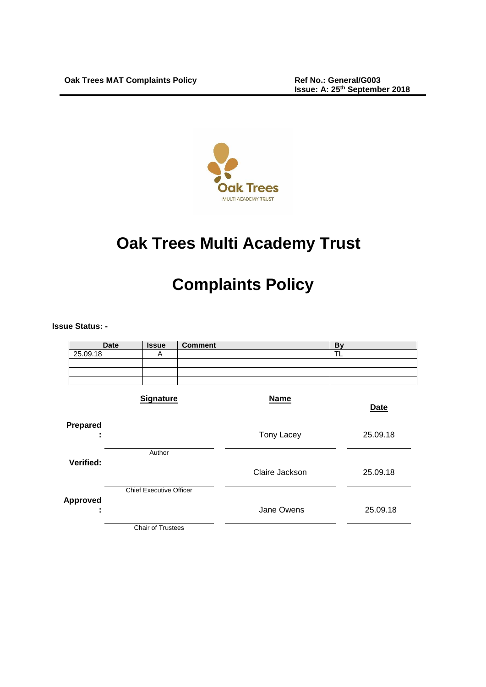

# **Oak Trees Multi Academy Trust**

# **Complaints Policy**

**Issue Status: -**

| <b>Date</b>               | <b>Issue</b>                   | <b>Comment</b> |                | <b>By</b>   |
|---------------------------|--------------------------------|----------------|----------------|-------------|
| 25.09.18                  | A                              |                |                | TĹ          |
|                           |                                |                |                |             |
|                           |                                |                |                |             |
|                           |                                |                |                |             |
|                           | <b>Signature</b>               |                | <b>Name</b>    | <b>Date</b> |
| Prepared<br>٠             |                                |                | Tony Lacey     | 25.09.18    |
| Verified:                 | Author                         |                | Claire Jackson | 25.09.18    |
| <b>Approved</b><br>٠<br>٠ | <b>Chief Executive Officer</b> |                | Jane Owens     | 25.09.18    |
|                           | Chair of Trustees              |                |                |             |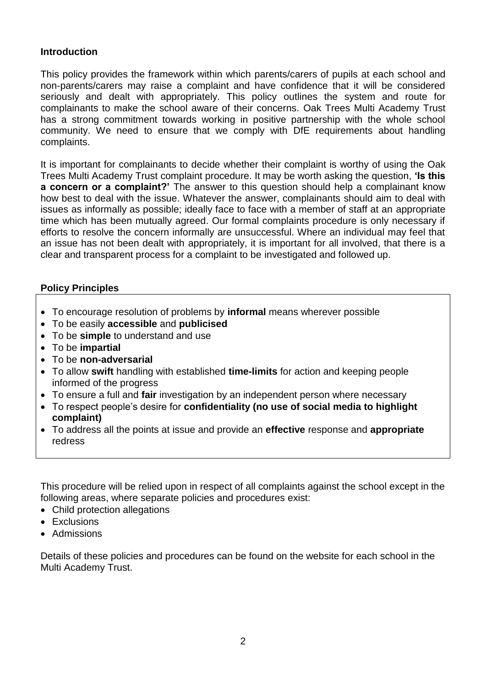#### **Introduction**

This policy provides the framework within which parents/carers of pupils at each school and non-parents/carers may raise a complaint and have confidence that it will be considered seriously and dealt with appropriately. This policy outlines the system and route for complainants to make the school aware of their concerns. Oak Trees Multi Academy Trust has a strong commitment towards working in positive partnership with the whole school community. We need to ensure that we comply with DfE requirements about handling complaints.

It is important for complainants to decide whether their complaint is worthy of using the Oak Trees Multi Academy Trust complaint procedure. It may be worth asking the question, **'Is this a concern or a complaint?'** The answer to this question should help a complainant know how best to deal with the issue. Whatever the answer, complainants should aim to deal with issues as informally as possible; ideally face to face with a member of staff at an appropriate time which has been mutually agreed. Our formal complaints procedure is only necessary if efforts to resolve the concern informally are unsuccessful. Where an individual may feel that an issue has not been dealt with appropriately, it is important for all involved, that there is a clear and transparent process for a complaint to be investigated and followed up.

### **Policy Principles**

- To encourage resolution of problems by **informal** means wherever possible
- To be easily **accessible** and **publicised**
- To be **simple** to understand and use
- To be **impartial**
- To be **non-adversarial**
- To allow **swift** handling with established **time-limits** for action and keeping people informed of the progress
- To ensure a full and **fair** investigation by an independent person where necessary
- To respect people's desire for **confidentiality (no use of social media to highlight complaint)**
- To address all the points at issue and provide an **effective** response and **appropriate**  redress

This procedure will be relied upon in respect of all complaints against the school except in the following areas, where separate policies and procedures exist:

- Child protection allegations
- Exclusions
- Admissions

Details of these policies and procedures can be found on the website for each school in the Multi Academy Trust.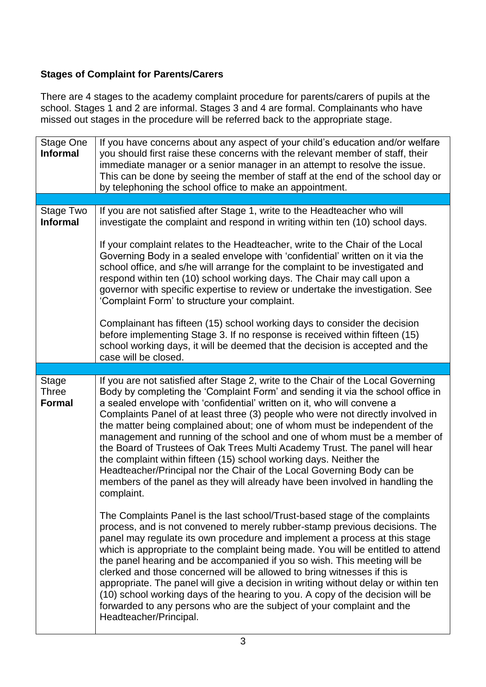## **Stages of Complaint for Parents/Carers**

There are 4 stages to the academy complaint procedure for parents/carers of pupils at the school. Stages 1 and 2 are informal. Stages 3 and 4 are formal. Complainants who have missed out stages in the procedure will be referred back to the appropriate stage.

| <b>Stage One</b><br><b>Informal</b>           | If you have concerns about any aspect of your child's education and/or welfare<br>you should first raise these concerns with the relevant member of staff, their<br>immediate manager or a senior manager in an attempt to resolve the issue.<br>This can be done by seeing the member of staff at the end of the school day or<br>by telephoning the school office to make an appointment.                                                                                                                                                                                                                                                                                                                                                                                                                              |
|-----------------------------------------------|--------------------------------------------------------------------------------------------------------------------------------------------------------------------------------------------------------------------------------------------------------------------------------------------------------------------------------------------------------------------------------------------------------------------------------------------------------------------------------------------------------------------------------------------------------------------------------------------------------------------------------------------------------------------------------------------------------------------------------------------------------------------------------------------------------------------------|
|                                               |                                                                                                                                                                                                                                                                                                                                                                                                                                                                                                                                                                                                                                                                                                                                                                                                                          |
| Stage Two<br><b>Informal</b>                  | If you are not satisfied after Stage 1, write to the Headteacher who will<br>investigate the complaint and respond in writing within ten (10) school days.                                                                                                                                                                                                                                                                                                                                                                                                                                                                                                                                                                                                                                                               |
|                                               | If your complaint relates to the Headteacher, write to the Chair of the Local<br>Governing Body in a sealed envelope with 'confidential' written on it via the<br>school office, and s/he will arrange for the complaint to be investigated and<br>respond within ten (10) school working days. The Chair may call upon a<br>governor with specific expertise to review or undertake the investigation. See<br>'Complaint Form' to structure your complaint.                                                                                                                                                                                                                                                                                                                                                             |
|                                               | Complainant has fifteen (15) school working days to consider the decision<br>before implementing Stage 3. If no response is received within fifteen (15)<br>school working days, it will be deemed that the decision is accepted and the<br>case will be closed.                                                                                                                                                                                                                                                                                                                                                                                                                                                                                                                                                         |
|                                               |                                                                                                                                                                                                                                                                                                                                                                                                                                                                                                                                                                                                                                                                                                                                                                                                                          |
| <b>Stage</b><br><b>Three</b><br><b>Formal</b> | If you are not satisfied after Stage 2, write to the Chair of the Local Governing<br>Body by completing the 'Complaint Form' and sending it via the school office in<br>a sealed envelope with 'confidential' written on it, who will convene a<br>Complaints Panel of at least three (3) people who were not directly involved in<br>the matter being complained about; one of whom must be independent of the<br>management and running of the school and one of whom must be a member of<br>the Board of Trustees of Oak Trees Multi Academy Trust. The panel will hear<br>the complaint within fifteen (15) school working days. Neither the<br>Headteacher/Principal nor the Chair of the Local Governing Body can be<br>members of the panel as they will already have been involved in handling the<br>complaint. |
|                                               | The Complaints Panel is the last school/Trust-based stage of the complaints<br>process, and is not convened to merely rubber-stamp previous decisions. The<br>panel may regulate its own procedure and implement a process at this stage<br>which is appropriate to the complaint being made. You will be entitled to attend<br>the panel hearing and be accompanied if you so wish. This meeting will be<br>clerked and those concerned will be allowed to bring witnesses if this is<br>appropriate. The panel will give a decision in writing without delay or within ten<br>(10) school working days of the hearing to you. A copy of the decision will be<br>forwarded to any persons who are the subject of your complaint and the<br>Headteacher/Principal.                                                       |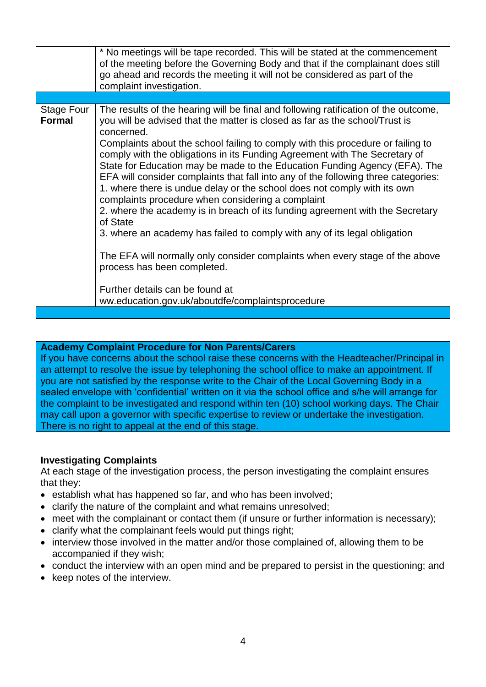|                             | * No meetings will be tape recorded. This will be stated at the commencement<br>of the meeting before the Governing Body and that if the complainant does still<br>go ahead and records the meeting it will not be considered as part of the<br>complaint investigation.                                                                                                                                                                                                                                                                                                                                                                                                                                                                                                                                                                                                                                                                                                                                                               |
|-----------------------------|----------------------------------------------------------------------------------------------------------------------------------------------------------------------------------------------------------------------------------------------------------------------------------------------------------------------------------------------------------------------------------------------------------------------------------------------------------------------------------------------------------------------------------------------------------------------------------------------------------------------------------------------------------------------------------------------------------------------------------------------------------------------------------------------------------------------------------------------------------------------------------------------------------------------------------------------------------------------------------------------------------------------------------------|
|                             |                                                                                                                                                                                                                                                                                                                                                                                                                                                                                                                                                                                                                                                                                                                                                                                                                                                                                                                                                                                                                                        |
| Stage Four<br><b>Formal</b> | The results of the hearing will be final and following ratification of the outcome,<br>you will be advised that the matter is closed as far as the school/Trust is<br>concerned.<br>Complaints about the school failing to comply with this procedure or failing to<br>comply with the obligations in its Funding Agreement with The Secretary of<br>State for Education may be made to the Education Funding Agency (EFA). The<br>EFA will consider complaints that fall into any of the following three categories:<br>1. where there is undue delay or the school does not comply with its own<br>complaints procedure when considering a complaint<br>2. where the academy is in breach of its funding agreement with the Secretary<br>of State<br>3. where an academy has failed to comply with any of its legal obligation<br>The EFA will normally only consider complaints when every stage of the above<br>process has been completed.<br>Further details can be found at<br>ww.education.gov.uk/aboutdfe/complaintsprocedure |
|                             |                                                                                                                                                                                                                                                                                                                                                                                                                                                                                                                                                                                                                                                                                                                                                                                                                                                                                                                                                                                                                                        |

#### **Academy Complaint Procedure for Non Parents/Carers**

If you have concerns about the school raise these concerns with the Headteacher/Principal in an attempt to resolve the issue by telephoning the school office to make an appointment. If you are not satisfied by the response write to the Chair of the Local Governing Body in a sealed envelope with 'confidential' written on it via the school office and s/he will arrange for the complaint to be investigated and respond within ten (10) school working days. The Chair may call upon a governor with specific expertise to review or undertake the investigation. There is no right to appeal at the end of this stage.

#### **Investigating Complaints**

At each stage of the investigation process, the person investigating the complaint ensures that they:

- establish what has happened so far, and who has been involved;
- clarify the nature of the complaint and what remains unresolved;
- meet with the complainant or contact them (if unsure or further information is necessary);
- clarify what the complainant feels would put things right;
- interview those involved in the matter and/or those complained of, allowing them to be accompanied if they wish;
- conduct the interview with an open mind and be prepared to persist in the questioning; and
- keep notes of the interview.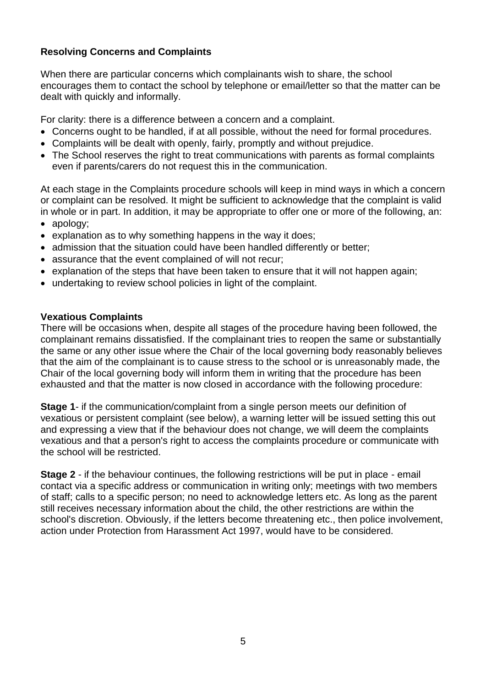### **Resolving Concerns and Complaints**

When there are particular concerns which complainants wish to share, the school encourages them to contact the school by telephone or email/letter so that the matter can be dealt with quickly and informally.

For clarity: there is a difference between a concern and a complaint.

- Concerns ought to be handled, if at all possible, without the need for formal procedures.
- Complaints will be dealt with openly, fairly, promptly and without prejudice.
- The School reserves the right to treat communications with parents as formal complaints even if parents/carers do not request this in the communication.

At each stage in the Complaints procedure schools will keep in mind ways in which a concern or complaint can be resolved. It might be sufficient to acknowledge that the complaint is valid in whole or in part. In addition, it may be appropriate to offer one or more of the following, an:

- apology;
- explanation as to why something happens in the way it does;
- admission that the situation could have been handled differently or better;
- assurance that the event complained of will not recur:
- explanation of the steps that have been taken to ensure that it will not happen again;
- undertaking to review school policies in light of the complaint.

#### **Vexatious Complaints**

There will be occasions when, despite all stages of the procedure having been followed, the complainant remains dissatisfied. If the complainant tries to reopen the same or substantially the same or any other issue where the Chair of the local governing body reasonably believes that the aim of the complainant is to cause stress to the school or is unreasonably made, the Chair of the local governing body will inform them in writing that the procedure has been exhausted and that the matter is now closed in accordance with the following procedure:

**Stage 1**- if the communication/complaint from a single person meets our definition of vexatious or persistent complaint (see below), a warning letter will be issued setting this out and expressing a view that if the behaviour does not change, we will deem the complaints vexatious and that a person's right to access the complaints procedure or communicate with the school will be restricted.

**Stage 2** - if the behaviour continues, the following restrictions will be put in place - email contact via a specific address or communication in writing only; meetings with two members of staff; calls to a specific person; no need to acknowledge letters etc. As long as the parent still receives necessary information about the child, the other restrictions are within the school's discretion. Obviously, if the letters become threatening etc., then police involvement, action under Protection from Harassment Act 1997, would have to be considered.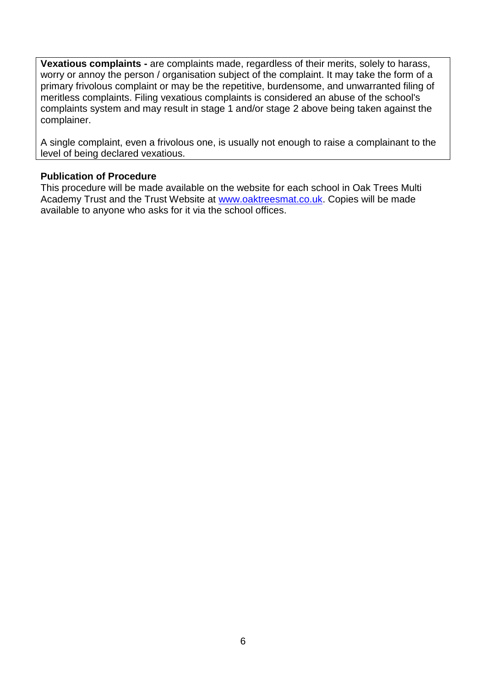**Vexatious complaints -** are complaints made, regardless of their merits, solely to harass, worry or annoy the person / organisation subject of the complaint. It may take the form of a primary frivolous complaint or may be the repetitive, burdensome, and unwarranted filing of meritless complaints. Filing vexatious complaints is considered an abuse of the school's complaints system and may result in stage 1 and/or stage 2 above being taken against the complainer.

A single complaint, even a frivolous one, is usually not enough to raise a complainant to the level of being declared vexatious.

#### **Publication of Procedure**

This procedure will be made available on the website for each school in Oak Trees Multi Academy Trust and the Trust Website at [www.oaktreesmat.co.uk.](http://www.oaktreesmat.co.uk/) Copies will be made available to anyone who asks for it via the school offices.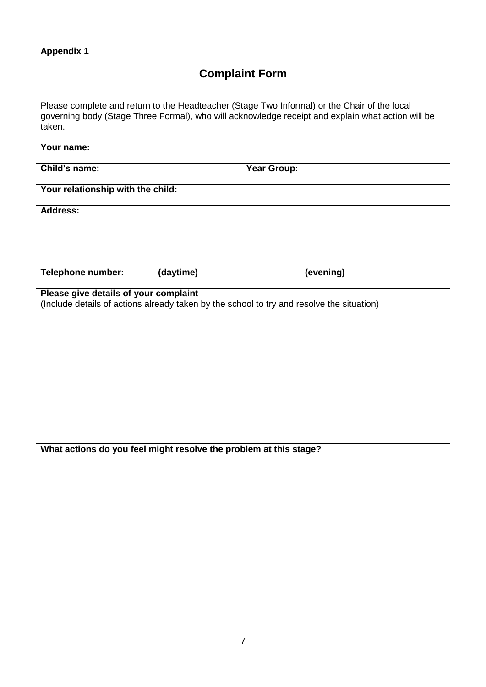# **Complaint Form**

Please complete and return to the Headteacher (Stage Two Informal) or the Chair of the local governing body (Stage Three Formal), who will acknowledge receipt and explain what action will be taken.

| Your name:                                                        |             |                                                                                           |  |  |  |  |
|-------------------------------------------------------------------|-------------|-------------------------------------------------------------------------------------------|--|--|--|--|
| Child's name:                                                     | Year Group: |                                                                                           |  |  |  |  |
| Your relationship with the child:                                 |             |                                                                                           |  |  |  |  |
| <b>Address:</b>                                                   |             |                                                                                           |  |  |  |  |
|                                                                   |             |                                                                                           |  |  |  |  |
|                                                                   |             |                                                                                           |  |  |  |  |
| Telephone number:                                                 | (daytime)   | (evening)                                                                                 |  |  |  |  |
| Please give details of your complaint                             |             | (Include details of actions already taken by the school to try and resolve the situation) |  |  |  |  |
|                                                                   |             |                                                                                           |  |  |  |  |
|                                                                   |             |                                                                                           |  |  |  |  |
|                                                                   |             |                                                                                           |  |  |  |  |
|                                                                   |             |                                                                                           |  |  |  |  |
|                                                                   |             |                                                                                           |  |  |  |  |
|                                                                   |             |                                                                                           |  |  |  |  |
|                                                                   |             |                                                                                           |  |  |  |  |
| What actions do you feel might resolve the problem at this stage? |             |                                                                                           |  |  |  |  |
|                                                                   |             |                                                                                           |  |  |  |  |
|                                                                   |             |                                                                                           |  |  |  |  |
|                                                                   |             |                                                                                           |  |  |  |  |
|                                                                   |             |                                                                                           |  |  |  |  |
|                                                                   |             |                                                                                           |  |  |  |  |
|                                                                   |             |                                                                                           |  |  |  |  |